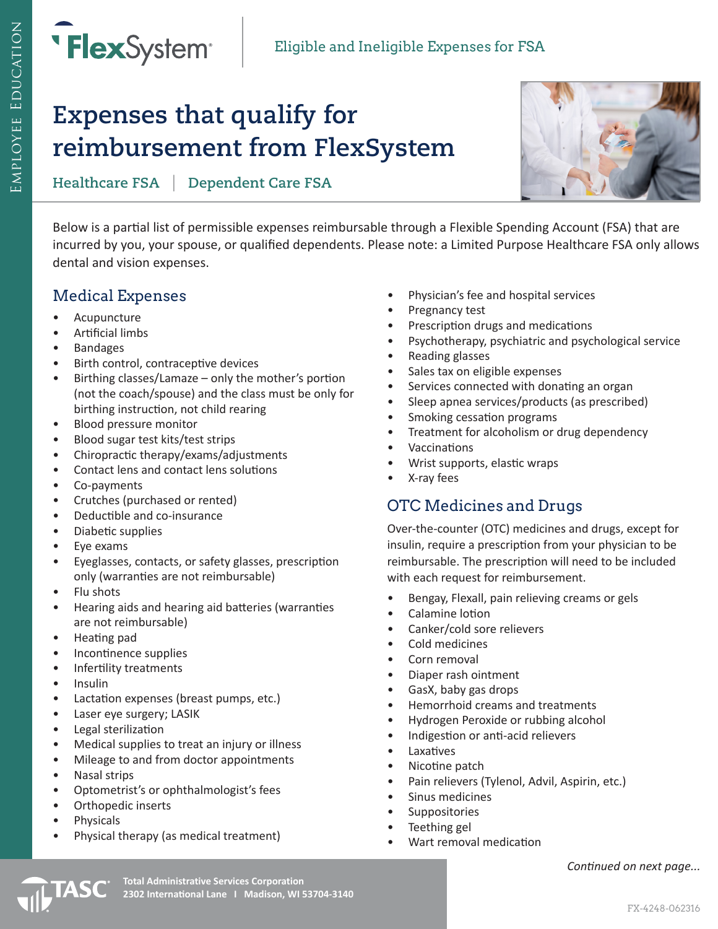

# **Expenses that qualify for reimbursement from FlexSystem**

**Healthcare FSA** | **Dependent Care FSA**



Below is a partial list of permissible expenses reimbursable through a Flexible Spending Account (FSA) that are incurred by you, your spouse, or qualified dependents. Please note: a Limited Purpose Healthcare FSA only allows dental and vision expenses.

### Medical Expenses

- Acupuncture
- Artificial limbs
- Bandages
- Birth control, contraceptive devices
- Birthing classes/Lamaze only the mother's portion (not the coach/spouse) and the class must be only for birthing instruction, not child rearing
- Blood pressure monitor
- Blood sugar test kits/test strips
- Chiropractic therapy/exams/adjustments
- Contact lens and contact lens solutions
- Co-payments
- Crutches (purchased or rented)
- Deductible and co-insurance
- Diabetic supplies
- Eye exams
- Eyeglasses, contacts, or safety glasses, prescription only (warranties are not reimbursable)
- Flu shots
- Hearing aids and hearing aid batteries (warranties are not reimbursable)
- Heating pad
- Incontinence supplies
- Infertility treatments
- Insulin
- Lactation expenses (breast pumps, etc.)
- Laser eye surgery; LASIK
- Legal sterilization
- Medical supplies to treat an injury or illness
- Mileage to and from doctor appointments
- Nasal strips
- Optometrist's or ophthalmologist's fees
- Orthopedic inserts
- Physicals
- Physical therapy (as medical treatment)
- Physician's fee and hospital services
- Pregnancy test
- Prescription drugs and medications
- Psychotherapy, psychiatric and psychological service
- Reading glasses
- Sales tax on eligible expenses
- Services connected with donating an organ
- Sleep apnea services/products (as prescribed)
- Smoking cessation programs
- Treatment for alcoholism or drug dependency
- Vaccinations
- Wrist supports, elastic wraps
- X-ray fees

## OTC Medicines and Drugs

Over-the-counter (OTC) medicines and drugs, except for insulin, require a prescription from your physician to be reimbursable. The prescription will need to be included with each request for reimbursement.

- Bengay, Flexall, pain relieving creams or gels
- Calamine lotion
- Canker/cold sore relievers
- Cold medicines
- Corn removal
- Diaper rash ointment
- GasX, baby gas drops
- Hemorrhoid creams and treatments
- Hydrogen Peroxide or rubbing alcohol
- Indigestion or anti-acid relievers
- **Laxatives**
- Nicotine patch
- Pain relievers (Tylenol, Advil, Aspirin, etc.)
- Sinus medicines
- **Suppositories**
- Teething gel
- Wart removal medication

*Continued on next page...*